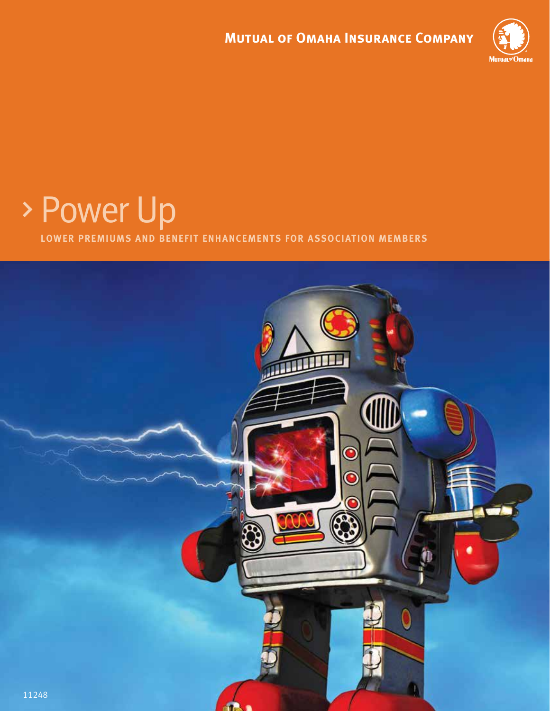

# Power Up

**lower premiums and benefit enhancements for association members**